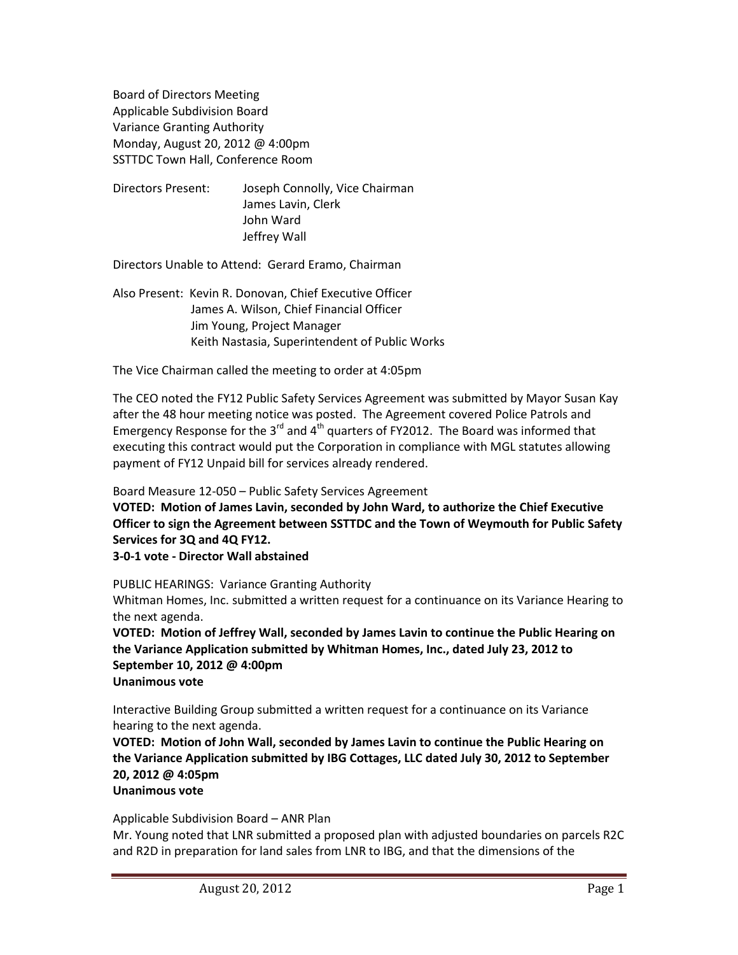Board of Directors Meeting Applicable Subdivision Board Variance Granting Authority Monday, August 20, 2012 @ 4:00pm SSTTDC Town Hall, Conference Room

Directors Present: Joseph Connolly, Vice Chairman James Lavin, Clerk John Ward Jeffrey Wall

Directors Unable to Attend: Gerard Eramo, Chairman

Also Present: Kevin R. Donovan, Chief Executive Officer James A. Wilson, Chief Financial Officer Jim Young, Project Manager Keith Nastasia, Superintendent of Public Works

The Vice Chairman called the meeting to order at 4:05pm

The CEO noted the FY12 Public Safety Services Agreement was submitted by Mayor Susan Kay after the 48 hour meeting notice was posted. The Agreement covered Police Patrols and Emergency Response for the 3 $^{rd}$  and 4 $^{th}$  quarters of FY2012. The Board was informed that executing this contract would put the Corporation in compliance with MGL statutes allowing payment of FY12 Unpaid bill for services already rendered.

Board Measure 12-050 – Public Safety Services Agreement

**VOTED: Motion of James Lavin, seconded by John Ward, to authorize the Chief Executive Officer to sign the Agreement between SSTTDC and the Town of Weymouth for Public Safety Services for 3Q and 4Q FY12.**

**3-0-1 vote - Director Wall abstained**

PUBLIC HEARINGS: Variance Granting Authority Whitman Homes, Inc. submitted a written request for a continuance on its Variance Hearing to the next agenda.

**VOTED: Motion of Jeffrey Wall, seconded by James Lavin to continue the Public Hearing on the Variance Application submitted by Whitman Homes, Inc., dated July 23, 2012 to September 10, 2012 @ 4:00pm Unanimous vote**

Interactive Building Group submitted a written request for a continuance on its Variance hearing to the next agenda.

**VOTED: Motion of John Wall, seconded by James Lavin to continue the Public Hearing on the Variance Application submitted by IBG Cottages, LLC dated July 30, 2012 to September 20, 2012 @ 4:05pm**

# **Unanimous vote**

Applicable Subdivision Board – ANR Plan

Mr. Young noted that LNR submitted a proposed plan with adjusted boundaries on parcels R2C and R2D in preparation for land sales from LNR to IBG, and that the dimensions of the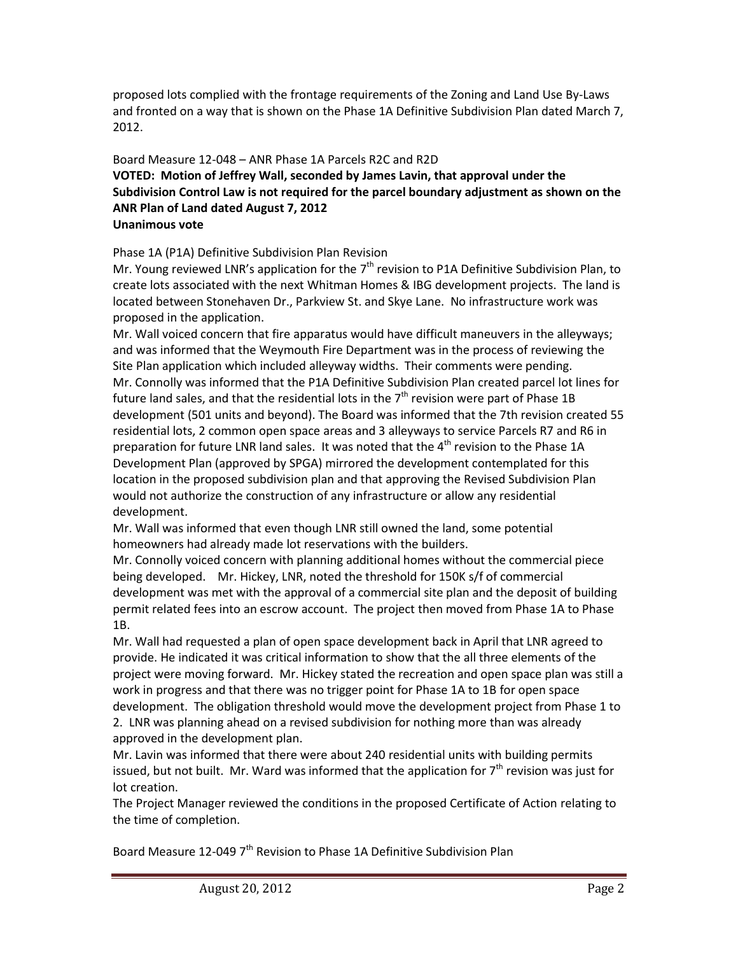proposed lots complied with the frontage requirements of the Zoning and Land Use By-Laws and fronted on a way that is shown on the Phase 1A Definitive Subdivision Plan dated March 7, 2012.

## Board Measure 12-048 – ANR Phase 1A Parcels R2C and R2D **VOTED: Motion of Jeffrey Wall, seconded by James Lavin, that approval under the Subdivision Control Law is not required for the parcel boundary adjustment as shown on the ANR Plan of Land dated August 7, 2012 Unanimous vote**

Phase 1A (P1A) Definitive Subdivision Plan Revision

Mr. Young reviewed LNR's application for the  $7<sup>th</sup>$  revision to P1A Definitive Subdivision Plan, to create lots associated with the next Whitman Homes & IBG development projects. The land is located between Stonehaven Dr., Parkview St. and Skye Lane. No infrastructure work was proposed in the application.

Mr. Wall voiced concern that fire apparatus would have difficult maneuvers in the alleyways; and was informed that the Weymouth Fire Department was in the process of reviewing the Site Plan application which included alleyway widths. Their comments were pending. Mr. Connolly was informed that the P1A Definitive Subdivision Plan created parcel lot lines for future land sales, and that the residential lots in the  $7<sup>th</sup>$  revision were part of Phase 1B development (501 units and beyond). The Board was informed that the 7th revision created 55 residential lots, 2 common open space areas and 3 alleyways to service Parcels R7 and R6 in preparation for future LNR land sales. It was noted that the  $4^{th}$  revision to the Phase 1A Development Plan (approved by SPGA) mirrored the development contemplated for this location in the proposed subdivision plan and that approving the Revised Subdivision Plan would not authorize the construction of any infrastructure or allow any residential development.

Mr. Wall was informed that even though LNR still owned the land, some potential homeowners had already made lot reservations with the builders.

Mr. Connolly voiced concern with planning additional homes without the commercial piece being developed. Mr. Hickey, LNR, noted the threshold for 150K s/f of commercial development was met with the approval of a commercial site plan and the deposit of building permit related fees into an escrow account. The project then moved from Phase 1A to Phase 1B.

Mr. Wall had requested a plan of open space development back in April that LNR agreed to provide. He indicated it was critical information to show that the all three elements of the project were moving forward. Mr. Hickey stated the recreation and open space plan was still a work in progress and that there was no trigger point for Phase 1A to 1B for open space development. The obligation threshold would move the development project from Phase 1 to 2. LNR was planning ahead on a revised subdivision for nothing more than was already approved in the development plan.

Mr. Lavin was informed that there were about 240 residential units with building permits issued, but not built. Mr. Ward was informed that the application for  $7<sup>th</sup>$  revision was just for lot creation.

The Project Manager reviewed the conditions in the proposed Certificate of Action relating to the time of completion.

Board Measure 12-049 7<sup>th</sup> Revision to Phase 1A Definitive Subdivision Plan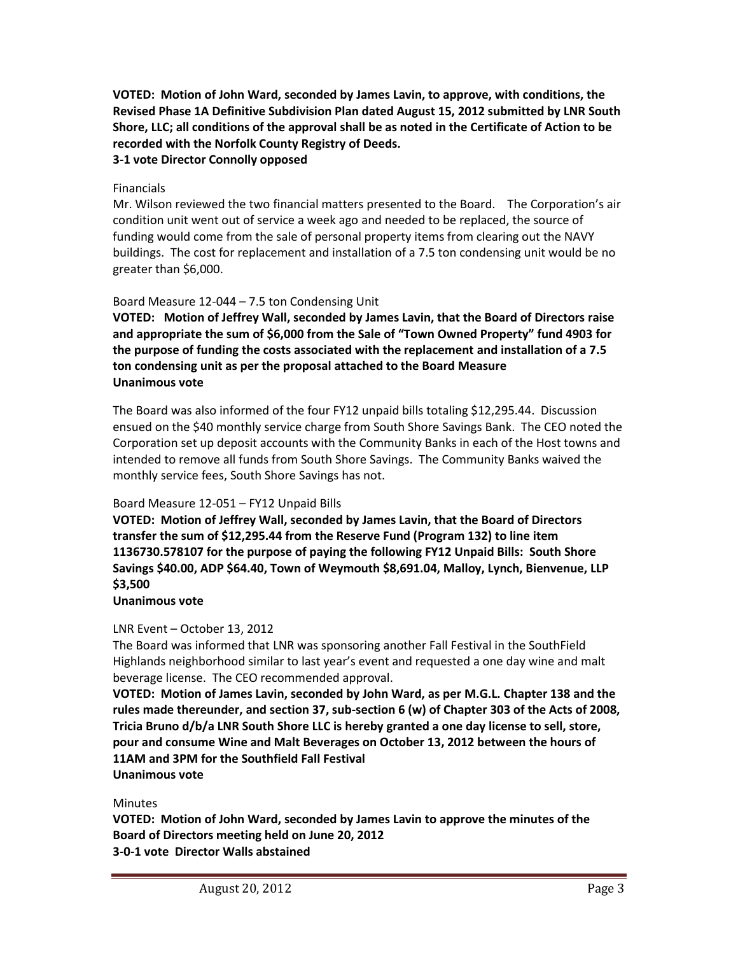**VOTED: Motion of John Ward, seconded by James Lavin, to approve, with conditions, the Revised Phase 1A Definitive Subdivision Plan dated August 15, 2012 submitted by LNR South Shore, LLC; all conditions of the approval shall be as noted in the Certificate of Action to be recorded with the Norfolk County Registry of Deeds.**

# **3-1 vote Director Connolly opposed**

#### Financials

Mr. Wilson reviewed the two financial matters presented to the Board. The Corporation's air condition unit went out of service a week ago and needed to be replaced, the source of funding would come from the sale of personal property items from clearing out the NAVY buildings. The cost for replacement and installation of a 7.5 ton condensing unit would be no greater than \$6,000.

## Board Measure 12-044 – 7.5 ton Condensing Unit

**VOTED: Motion of Jeffrey Wall, seconded by James Lavin, that the Board of Directors raise and appropriate the sum of \$6,000 from the Sale of "Town Owned Property" fund 4903 for the purpose of funding the costs associated with the replacement and installation of a 7.5 ton condensing unit as per the proposal attached to the Board Measure Unanimous vote**

The Board was also informed of the four FY12 unpaid bills totaling \$12,295.44. Discussion ensued on the \$40 monthly service charge from South Shore Savings Bank. The CEO noted the Corporation set up deposit accounts with the Community Banks in each of the Host towns and intended to remove all funds from South Shore Savings. The Community Banks waived the monthly service fees, South Shore Savings has not.

## Board Measure 12-051 – FY12 Unpaid Bills

**VOTED: Motion of Jeffrey Wall, seconded by James Lavin, that the Board of Directors transfer the sum of \$12,295.44 from the Reserve Fund (Program 132) to line item 1136730.578107 for the purpose of paying the following FY12 Unpaid Bills: South Shore Savings \$40.00, ADP \$64.40, Town of Weymouth \$8,691.04, Malloy, Lynch, Bienvenue, LLP \$3,500**

#### **Unanimous vote**

## LNR Event – October 13, 2012

The Board was informed that LNR was sponsoring another Fall Festival in the SouthField Highlands neighborhood similar to last year's event and requested a one day wine and malt beverage license. The CEO recommended approval.

**VOTED: Motion of James Lavin, seconded by John Ward, as per M.G.L. Chapter 138 and the rules made thereunder, and section 37, sub-section 6 (w) of Chapter 303 of the Acts of 2008, Tricia Bruno d/b/a LNR South Shore LLC is hereby granted a one day license to sell, store, pour and consume Wine and Malt Beverages on October 13, 2012 between the hours of 11AM and 3PM for the Southfield Fall Festival Unanimous vote**

#### **Minutes**

**VOTED: Motion of John Ward, seconded by James Lavin to approve the minutes of the Board of Directors meeting held on June 20, 2012**

**3-0-1 vote Director Walls abstained**